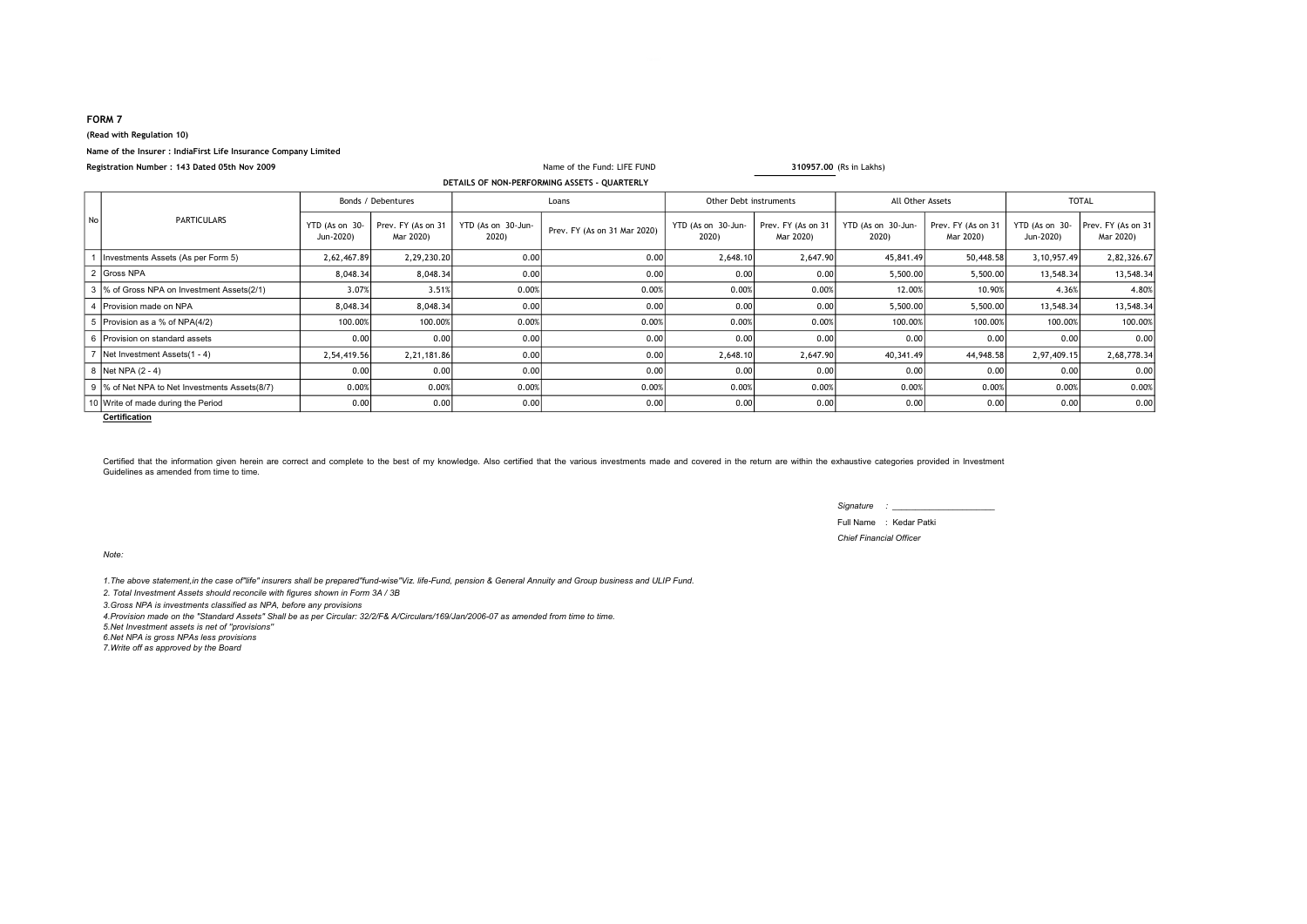### FORM 7

### (Read with Regulation 10)

Name of the Insurer : IndiaFirst Life Insurance Company Limited

Registration Number: 143 Dated 05th Nov 2009 Name of the Fund: LIFE FUND Name of the Fund: LIFE FUND 310957.00 (Rs in Lakhs)

|    | DETAILS OF NON-PERFORMING ASSETS - QUARTERLY |                             |                                 |                             |                              |                             |                                 |                             |                                 |                             |                                 |
|----|----------------------------------------------|-----------------------------|---------------------------------|-----------------------------|------------------------------|-----------------------------|---------------------------------|-----------------------------|---------------------------------|-----------------------------|---------------------------------|
|    | <b>PARTICULARS</b>                           | Bonds / Debentures          |                                 | Loans                       |                              | Other Debt instruments      |                                 | All Other Assets            |                                 | <b>TOTAL</b>                |                                 |
| No |                                              | YTD (As on 30-<br>Jun-2020) | Prev. FY (As on 31<br>Mar 2020) | YTD (As on 30-Jun-<br>2020) | Prev. FY (As on 31 Mar 2020) | YTD (As on 30-Jun-<br>2020) | Prev. FY (As on 31<br>Mar 2020) | YTD (As on 30-Jun-<br>2020) | Prev. FY (As on 31<br>Mar 2020) | YTD (As on 30-<br>Jun-2020) | Prev. FY (As on 31<br>Mar 2020) |
|    | Investments Assets (As per Form 5)           | 2,62,467.89                 | 2,29,230.20                     | 0.00                        | 0.00                         | 2,648.10                    | 2,647.90                        | 45,841.49                   | 50,448.58                       | 3,10,957.49                 | 2,82,326.67                     |
|    | 2 Gross NPA                                  | 8,048.34                    | 8,048.34                        | 0.00                        | 0.00                         | 0.00                        | 0.00                            | 5,500.00                    | 5,500.00                        | 13,548.34                   | 13,548.34                       |
|    | 3  % of Gross NPA on Investment Assets(2/1)  | 3.07%                       | 3.51%                           | 0.00%                       | 0.00%                        | 0.00%                       | 0.00%                           | 12.00%                      | 10.90%                          | 4.369                       | 4.80%                           |
|    | 4 Provision made on NPA                      | 8,048.34                    | 8,048.34                        | 0.00                        | 0.00                         | 0.00                        | 0.00                            | 5,500.00                    | 5,500.00                        | 13,548.34                   | 13,548.34                       |
|    | Provision as a % of NPA(4/2)                 | 100.00%                     | 100.00%                         | 0.00%                       | 0.00%                        | 0.00%                       | 0.00%                           | 100.00%                     | 100.00%                         | 100.00%                     | 100.00%                         |
|    | Provision on standard assets                 | 0.00                        | 0.00                            | 0.00                        | 0.00                         | 0.00                        | 0.00                            | 0.00                        | 0.00                            | 0.00                        | 0.00                            |
|    | Net Investment Assets(1 - 4)                 | 2,54,419.56                 | 2,21,181.86                     | 0.00                        | 0.00                         | 2,648.10                    | 2,647.90                        | 40,341.49                   | 44,948.58                       | 2,97,409.15                 | 2,68,778.34                     |
|    | 8 Net NPA (2 - 4)                            | 0.00                        | 0.00                            | 0.00                        | 0.00                         | 0.00                        | 0.00                            | 0.00                        | 0.00                            | 0.00                        | 0.00                            |
|    | % of Net NPA to Net Investments Assets(8/7)  | 0.00%                       | 0.00%                           | 0.00%                       | 0.00%                        | 0.00%                       | 0.00%                           | 0.00%                       | 0.00%                           | 0.00%                       | 0.00%                           |
|    | 10 Write of made during the Period           | 0.00                        | 0.00                            | 0.00                        | 0.00                         | 0.00                        | 0.00                            | 0.00                        | 0.00                            | 0.00                        | 0.00                            |

**Certification** 

Certified that the information given herein are correct and complete to the best of my knowledge. Also certified that the various investments made and covered in the return are within the exhaustive categories provided in Guidelines as amended from time to time.

> Signature : \_\_\_\_\_\_\_\_\_\_\_\_\_\_\_\_\_\_\_\_\_\_ Full Name : Kedar Patki Chief Financial Officer

Note:

1.The above statement,in the case of"life" insurers shall be prepared"fund-wise"Viz. life-Fund, pension & General Annuity and Group business and ULIP Fund.

2. Total Investment Assets should reconcile with figures shown in Form 3A / 3B

3.Gross NPA is investments classified as NPA, before any provisions

4.Provision made on the "Standard Assets" Shall be as per Circular: 32/2/F& A/Circulars/169/Jan/2006-07 as amended from time to time.

5.Net Investment assets is net of ''provisions''

6.Net NPA is gross NPAs less provisions

**7. Write off as approved by the Board**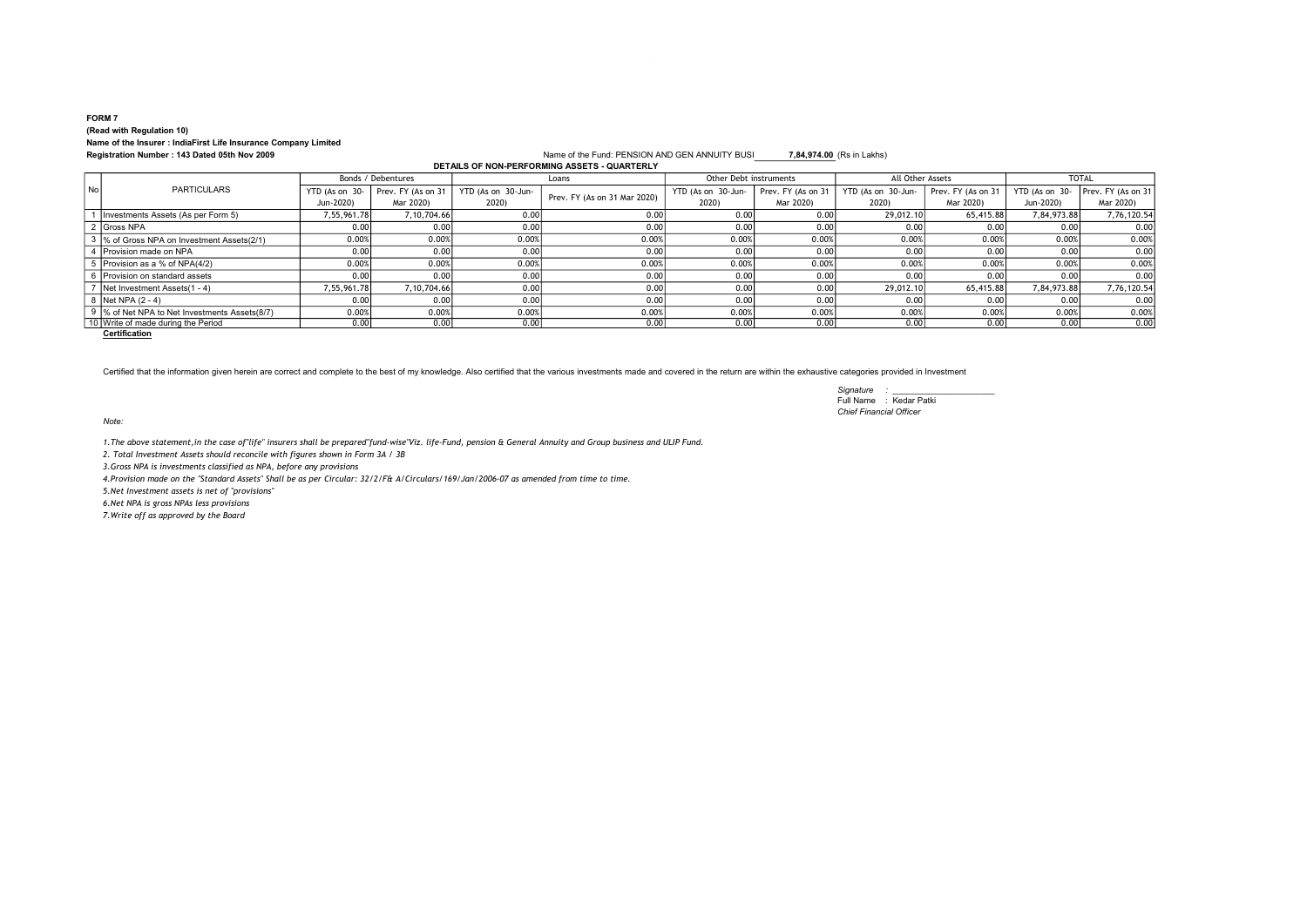# FORM 7 (Read with Regulation 10) Name of the Insurer : IndiaFirst Life Insurance Company Limited

Name of the Fund: PENSION AND GEN ANNUITY BUSI 7,84,974.00 (Rs in Lakhs) DETAILS OF NON-PERFORMING ASSETS - QUARTERLY

|    | <b>PETALO OF NON-FENI ONIHING AGGETS - QUANTENET</b> |                    |                    |                    |                              |                        |                    |                    |                    |                |                    |
|----|------------------------------------------------------|--------------------|--------------------|--------------------|------------------------------|------------------------|--------------------|--------------------|--------------------|----------------|--------------------|
| No | <b>PARTICULARS</b>                                   | Bonds / Debentures |                    | Loans              |                              | Other Debt instruments |                    | All Other Assets   |                    | <b>TOTAL</b>   |                    |
|    |                                                      | YTD (As on 30-     | Prev. FY (As on 31 | YTD (As on 30-Jun- | Prev. FY (As on 31 Mar 2020) | YTD (As on 30-Jun-     | Prev. FY (As on 31 | YTD (As on 30-Jun- | Prev. FY (As on 31 | YTD (As on 30- | Prev. FY (As on 31 |
|    |                                                      | Jun-2020)          | Mar 2020)          | 2020)              |                              | 2020)                  | Mar 2020)          | 2020)              | Mar 2020)          | Jun-2020)      | Mar 2020)          |
|    | Investments Assets (As per Form 5)                   | 7,55,961.78        | 7.10.704.66        | 0.00               | 0.00                         | 0.00                   | 0.00               | 29,012.10          | 65,415.88          | 7.84.973.88    | 7,76,120.54        |
|    | 2 Gross NPA                                          | 0.00               | 0.00               | 0.00               | 0.00                         | 0.00                   | 0.00               | 0.00               | 0.00               | 0.00           | 0.00               |
|    | 3 % of Gross NPA on Investment Assets(2/1)           | 0.00%              | 0.00%              | 0.00%              | 0.00%                        | 0.00%                  | 0.00%              | 0.00%              | 0.00%              | 0.00%          | 0.00%              |
|    | Provision made on NPA                                | 0.00               | 0.00               | 0.00               | 0.00                         | 0.00                   | 0.00               | 0.00               | 0.00               | 0.00           | 0.00               |
|    | 5 Provision as a % of NPA(4/2)                       | 0.00%              | 0.00%              | 0.00%              | 0.00%                        | 0.00%                  | 0.00%              | 0.00%              | 0.00%              | 0.00%          | 0.00%              |
|    | 6 Provision on standard assets                       | 0.00               | 0.00               | 0.001              | 0.00                         | 0.00                   | 0.00               | 0.00               | 0.00               | 0.00           | 0.00               |
|    | Net Investment Assets(1 - 4)                         | 7,55,961.78        | 7.10.704.66        | 0.00               | 0.001                        | 0.001                  | 0.00               | 29,012.10          | 65,415.88          | 7,84,973.88    | 7,76,120.54        |
|    | 8 Net NPA (2 - 4)                                    | 0.00               | 0.00               | 0.001              | 0.00                         | 0.001                  | 0.00               | 0.00               | 0.00               | 0.00           | 0.00               |
|    | 9 % of Net NPA to Net Investments Assets(8/7)        | 0.00%              | 0.00%              | 0.00%              | 0.00%                        | 0.00%                  | 0.00%              | 0.00%              | 0.00%              | 0.00%          | 0.00%              |
|    | 10 Write of made during the Period                   | 0.00               | 0.001              | 0.001              | 0.00                         | 0.00                   | 0.001              | 0.00 <sub>1</sub>  | 0.00               | 0.00           | 0.00               |

**Certification** 

Certified that the information given herein are correct and complete to the best of my knowledge. Also certified that the various investments made and covered in the return are within the exhaustive categories provided in

Note:

1.The above statement,in the case of"life" insurers shall be prepared"fund-wise"Viz. life-Fund, pension & General Annuity and Group business and ULIP Fund.

2. Total Investment Assets should reconcile with figures shown in Form 3A / 3B

3.Gross NPA is investments classified as NPA, before any provisions

4.Provision made on the "Standard Assets" Shall be as per Circular: 32/2/F& A/Circulars/169/Jan/2006-07 as amended from time to time.

5.Net Investment assets is net of ''provisions''

6.Net NPA is gross NPAs less provisions

7.Write off as approved by the Board

S*ignature : \_\_\_\_\_\_\_\_\_\_\_\_\_\_\_\_\_\_\_\_\_*<br>Full Name : Kedar Patki Chief Financial Officer